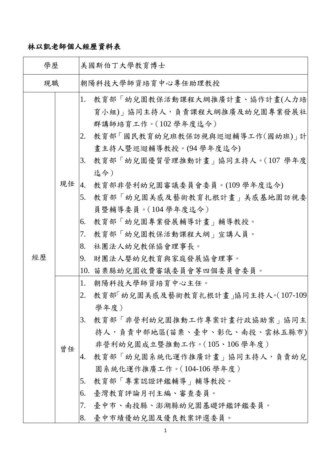## 林以凱老師個人經歷資料表

| 學歷 |    | 美國斯伯丁大學教育博士                                                                                                                                                                                                                                                                                                                                                                                     |
|----|----|-------------------------------------------------------------------------------------------------------------------------------------------------------------------------------------------------------------------------------------------------------------------------------------------------------------------------------------------------------------------------------------------------|
| 現職 |    | 朝陽科技大學師資培育中心專任助理教授                                                                                                                                                                                                                                                                                                                                                                              |
| 經歷 | 現任 | 1.<br>教育部「幼兒園教保活動課程大綱推廣計畫、協作計畫(人力培<br>育小組)」協同主持人,負責課程大綱推廣及幼兒園專業發展社<br>群講師培育工作。(102學年度迄今)<br>教育部「國民教育幼兒班教保訪視與巡迴輔導工作(國幼班)」計<br>2.<br>畫主持人暨巡迴輔導教授。(94 學年度迄今)<br>教育部「幼兒園優質管理推動計畫」協同主持人。(107 學年度<br>3.<br>迄今)<br>教育部非營利幼兒園審議委員會委員。(109 學年度迄今)<br>4.<br>5.<br>教育部「幼兒園美感及藝術教育扎根計畫」美感基地園訪視委<br>員暨輔導委員。(104 學年度迄今)<br>教育部「幼兒園專業發展輔導計畫」輔導教授。<br>6.<br>教育部「幼兒園教保活動課程大綱」宣講人員。<br>7.<br>8.<br>社團法人幼兒教保協會理事長。 |
|    |    | 財團法人嬰幼兒教育與家庭發展協會理事。<br>9.<br>10. 苗栗縣幼兒園收費審議委員會等四個委員會委員。                                                                                                                                                                                                                                                                                                                                         |
|    | 曾任 | 朝陽科技大學師資培育中心主任。<br>1.<br>教育部 幼兒園美感及藝術教育扎根計畫」協同主持人。(107-109)<br>2.<br>學年度)<br>教育部   非營利幼兒園推動工作專案計畫行政協助案   協同主 <br>3.<br>持人,負責中部地區(苗栗、臺中、彰化、南投、雲林五縣市) <br>非營利幼兒園成立暨推動工作。(105、106學年度)<br>教育部「幼兒園系統化運作推廣計畫」協同主持人,負責幼兒<br>4.<br>園系統化運作推廣工作。(104-106 學年度)<br>5.<br>教育部「專業認證評鑑輔導」輔導教授。<br>臺灣教育評論月刊主編、審查委員。<br>6.<br>7.<br>臺中市、南投縣、澎湖縣幼兒園基礎評鑑評鑑委員。<br>8.<br>臺中市績優幼兒園及優良教案評選委員。                          |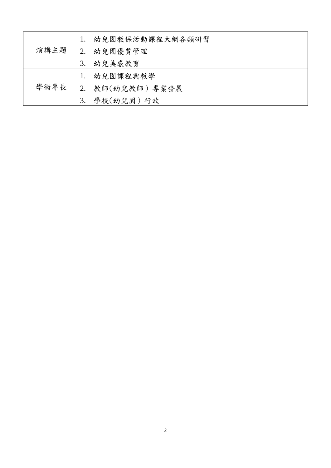|      |    | 幼兒園教保活動課程大綱各類研習 |
|------|----|-----------------|
| 演講主題 | 2. | 幼兒園優質管理         |
|      | 3. | 幼兒美感教育          |
|      |    | 幼兒園課程與教學        |
| 學術專長 | 2. | 教師(幼兒教師) 專業發展   |
|      | 3. | 學校(幼兒園)行政       |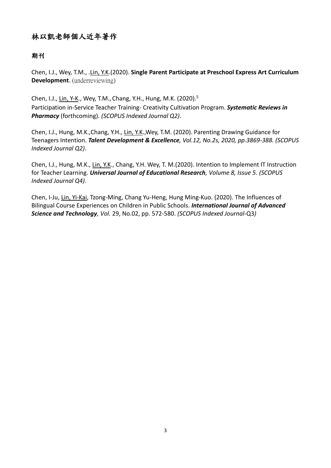## 林以凱老師個人近年著作

## 期刊

Chen, I.J., Wey, T.M., .Lin, Y.K.(2020). **Single Parent Participate at Preschool Express Art Curriculum Development**. (underreviewing)

Chen, I.J., Lin, Y-K., Wey, T.M., Chang, Y.H., Hung, M.K. (2020).<sup>5</sup> Participation in-Service Teacher Training- Creativity Cultivation Program. *Systematic Reviews in Pharmacy* (forthcoming). *(SCOPUS Indexed Journal Q2)*.

Chen, I.J., Hung, M.K.,Chang, Y.H., Lin, Y.K.,Wey, T.M. (2020). Parenting Drawing Guidance for Teenagers Intention. *Talent Development & Excellence, Vol.12, No.2s, 2020, pp.3869-388. (SCOPUS Indexed Journal Q2)*.

Chen, I.J., Hung, M.K., Lin, Y.K., Chang, Y.H. Wey, T. M.(2020). Intention to Implement IT Instruction for Teacher Learning. *Universal Journal of Educational Research, Volume 8, Issue 5. (SCOPUS Indexed Journal Q4)*.

Chen, I-Ju, Lin, Yi-Kai, Tzong-Ming, Chang Yu-Heng, Hung Ming-Kuo. (2020). The Influences of Bilingual Course Experiences on Children in Public Schools. *International Journal of Advanced Science and Technology, Vol.* 29, No.02, pp. 572-580. *(SCOPUS Indexed Journal-*Q3*)*